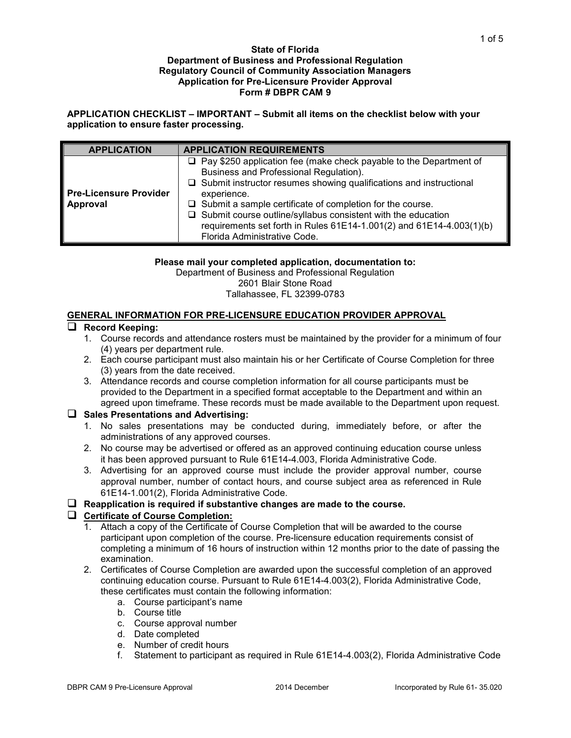#### **State of Florida Department of Business and Professional Regulation Regulatory Council of Community Association Managers Application for Pre-Licensure Provider Approval Form # DBPR CAM 9**

**APPLICATION CHECKLIST – IMPORTANT – Submit all items on the checklist below with your application to ensure faster processing.**

| <b>APPLICATION</b>                        | <b>APPLICATION REQUIREMENTS</b>                                                                                                                                                                                                                                                                                                                                                                                                                                    |
|-------------------------------------------|--------------------------------------------------------------------------------------------------------------------------------------------------------------------------------------------------------------------------------------------------------------------------------------------------------------------------------------------------------------------------------------------------------------------------------------------------------------------|
| <b>Pre-Licensure Provider</b><br>Approval | $\Box$ Pay \$250 application fee (make check payable to the Department of<br>Business and Professional Regulation).<br>$\Box$ Submit instructor resumes showing qualifications and instructional<br>experience.<br>$\Box$ Submit a sample certificate of completion for the course.<br>$\Box$ Submit course outline/syllabus consistent with the education<br>requirements set forth in Rules 61E14-1.001(2) and 61E14-4.003(1)(b)<br>Florida Administrative Code. |

**Please mail your completed application, documentation to:**

Department of Business and Professional Regulation

2601 Blair Stone Road

#### Tallahassee, FL 32399-0783

### **GENERAL INFORMATION FOR PRE-LICENSURE EDUCATION PROVIDER APPROVAL**

### **Record Keeping:**

- 1. Course records and attendance rosters must be maintained by the provider for a minimum of four (4) years per department rule.
- 2. Each course participant must also maintain his or her Certificate of Course Completion for three (3) years from the date received.
- 3. Attendance records and course completion information for all course participants must be provided to the Department in a specified format acceptable to the Department and within an agreed upon timeframe. These records must be made available to the Department upon request.

#### **Sales Presentations and Advertising:**

- 1. No sales presentations may be conducted during, immediately before, or after the administrations of any approved courses.
- 2. No course may be advertised or offered as an approved continuing education course unless it has been approved pursuant to Rule 61E14-4.003, Florida Administrative Code.
- 3. Advertising for an approved course must include the provider approval number, course approval number, number of contact hours, and course subject area as referenced in Rule 61E14-1.001(2), Florida Administrative Code.

### **Reapplication is required if substantive changes are made to the course.**

### **Certificate of Course Completion:**

- 1. Attach a copy of the Certificate of Course Completion that will be awarded to the course participant upon completion of the course. Pre-licensure education requirements consist of completing a minimum of 16 hours of instruction within 12 months prior to the date of passing the examination.
- 2. Certificates of Course Completion are awarded upon the successful completion of an approved continuing education course. Pursuant to Rule 61E14-4.003(2), Florida Administrative Code, these certificates must contain the following information:
	- a. Course participant's name
	- b. Course title
	- c. Course approval number
	- d. Date completed
	- e. Number of credit hours
	- f. Statement to participant as required in Rule 61E14-4.003(2), Florida Administrative Code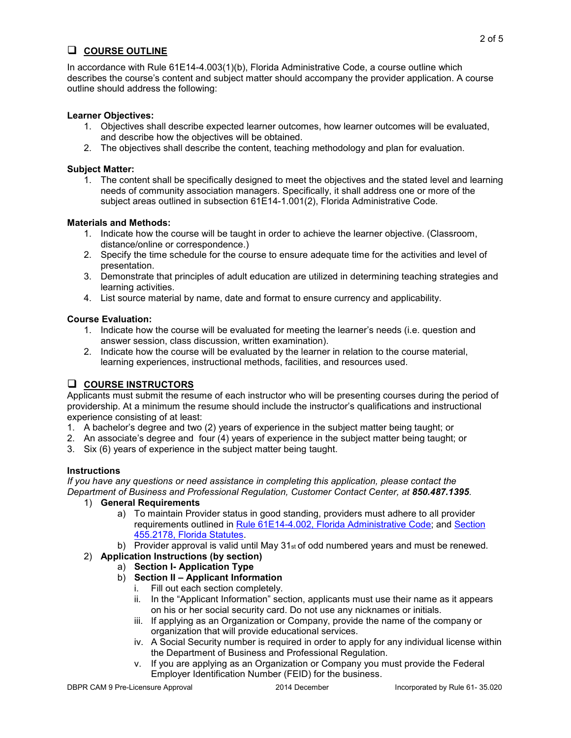# **COURSE OUTLINE**

In accordance with Rule 61E14-4.003(1)(b), Florida Administrative Code, a course outline which describes the course's content and subject matter should accompany the provider application. A course outline should address the following:

### **Learner Objectives:**

- 1. Objectives shall describe expected learner outcomes, how learner outcomes will be evaluated, and describe how the objectives will be obtained.
- 2. The objectives shall describe the content, teaching methodology and plan for evaluation.

### **Subject Matter:**

1. The content shall be specifically designed to meet the objectives and the stated level and learning needs of community association managers. Specifically, it shall address one or more of the subject areas outlined in subsection 61E14-1.001(2), Florida Administrative Code.

### **Materials and Methods:**

- 1. Indicate how the course will be taught in order to achieve the learner objective. (Classroom, distance/online or correspondence.)
- 2. Specify the time schedule for the course to ensure adequate time for the activities and level of presentation.
- 3. Demonstrate that principles of adult education are utilized in determining teaching strategies and learning activities.
- 4. List source material by name, date and format to ensure currency and applicability.

### **Course Evaluation:**

- 1. Indicate how the course will be evaluated for meeting the learner's needs (i.e. question and answer session, class discussion, written examination).
- 2. Indicate how the course will be evaluated by the learner in relation to the course material, learning experiences, instructional methods, facilities, and resources used.

# **COURSE INSTRUCTORS**

Applicants must submit the resume of each instructor who will be presenting courses during the period of providership. At a minimum the resume should include the instructor's qualifications and instructional experience consisting of at least:

- 1. A bachelor's degree and two (2) years of experience in the subject matter being taught; or
- 2. An associate's degree and four (4) years of experience in the subject matter being taught; or
- 3. Six (6) years of experience in the subject matter being taught.

# **Instructions**

*If you have any questions or need assistance in completing this application, please contact the Department of Business and Professional Regulation, Customer Contact Center, at 850.487.1395.* 

- 1) **General Requirements** 
	- a) To maintain Provider status in good standing, providers must adhere to all provider requirements outlined in [Rule 61E14-4.002, Florida Administrative Code;](https://www.flrules.org/gateway/RuleNo.asp?title=Continuing%20Education&ID=61E14-4.002) and [Section](http://www.leg.state.fl.us/Statutes/index.cfm?App_mode=Display_Statute&Search_String=&URL=0400-0499/0455/Sections/0455.2178.html)  [455.2178, Florida Statutes.](http://www.leg.state.fl.us/Statutes/index.cfm?App_mode=Display_Statute&Search_String=&URL=0400-0499/0455/Sections/0455.2178.html)
	- b) Provider approval is valid until May  $31<sub>st</sub>$  of odd numbered years and must be renewed.
- 2) **Application Instructions (by section)** 
	- a) **Section I- Application Type**
	- b) **Section II – Applicant Information**
		- i. Fill out each section completely.
		- ii. In the "Applicant Information" section, applicants must use their name as it appears on his or her social security card. Do not use any nicknames or initials.
		- iii. If applying as an Organization or Company, provide the name of the company or organization that will provide educational services.
		- iv. A Social Security number is required in order to apply for any individual license within the Department of Business and Professional Regulation.
		- v. If you are applying as an Organization or Company you must provide the Federal Employer Identification Number (FEID) for the business.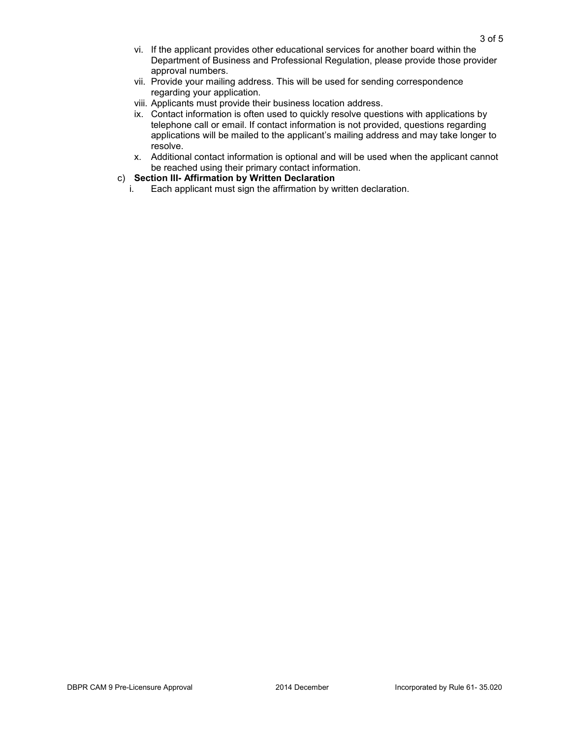- vi. If the applicant provides other educational services for another board within the Department of Business and Professional Regulation, please provide those provider approval numbers.
- vii. Provide your mailing address. This will be used for sending correspondence regarding your application.
- viii. Applicants must provide their business location address.
- ix. Contact information is often used to quickly resolve questions with applications by telephone call or email. If contact information is not provided, questions regarding applications will be mailed to the applicant's mailing address and may take longer to resolve.
- x. Additional contact information is optional and will be used when the applicant cannot be reached using their primary contact information.
- c) **Section III- Affirmation by Written Declaration** 
	- i. Each applicant must sign the affirmation by written declaration.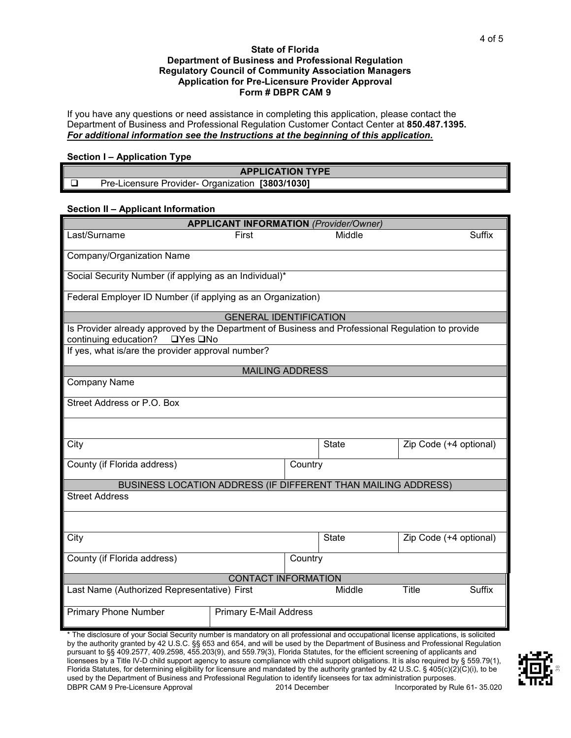#### **State of Florida Department of Business and Professional Regulation Regulatory Council of Community Association Managers Application for Pre-Licensure Provider Approval Form # DBPR CAM 9**

If you have any questions or need assistance in completing this application, please contact the Department of Business and Professional Regulation Customer Contact Center at **850.487.1395.** *For additional information see the Instructions at the beginning of this application.*

#### **Section I – Application Type**

| <b>APPLICATION TYPE</b> |                                                     |  |  |  |  |  |  |
|-------------------------|-----------------------------------------------------|--|--|--|--|--|--|
|                         | [3803/1030]<br>Pre-Licensure Provider- Organization |  |  |  |  |  |  |

#### **Section II – Applicant Information**

| <b>APPLICANT INFORMATION (Provider/Owner)</b>                                                                                                      |                               |         |              |                        |               |  |  |  |
|----------------------------------------------------------------------------------------------------------------------------------------------------|-------------------------------|---------|--------------|------------------------|---------------|--|--|--|
| Last/Surname                                                                                                                                       | First                         |         | Middle       |                        | <b>Suffix</b> |  |  |  |
| Company/Organization Name                                                                                                                          |                               |         |              |                        |               |  |  |  |
| Social Security Number (if applying as an Individual)*                                                                                             |                               |         |              |                        |               |  |  |  |
| Federal Employer ID Number (if applying as an Organization)                                                                                        |                               |         |              |                        |               |  |  |  |
| <b>GENERAL IDENTIFICATION</b>                                                                                                                      |                               |         |              |                        |               |  |  |  |
| Is Provider already approved by the Department of Business and Professional Regulation to provide<br>continuing education?<br>$\Box$ Yes $\Box$ No |                               |         |              |                        |               |  |  |  |
| If yes, what is/are the provider approval number?                                                                                                  |                               |         |              |                        |               |  |  |  |
| <b>MAILING ADDRESS</b>                                                                                                                             |                               |         |              |                        |               |  |  |  |
| <b>Company Name</b>                                                                                                                                |                               |         |              |                        |               |  |  |  |
| Street Address or P.O. Box                                                                                                                         |                               |         |              |                        |               |  |  |  |
|                                                                                                                                                    |                               |         |              |                        |               |  |  |  |
| City                                                                                                                                               |                               |         | <b>State</b> | Zip Code (+4 optional) |               |  |  |  |
| County (if Florida address)<br>Country                                                                                                             |                               |         |              |                        |               |  |  |  |
| BUSINESS LOCATION ADDRESS (IF DIFFERENT THAN MAILING ADDRESS)                                                                                      |                               |         |              |                        |               |  |  |  |
| <b>Street Address</b>                                                                                                                              |                               |         |              |                        |               |  |  |  |
|                                                                                                                                                    |                               |         |              |                        |               |  |  |  |
| City                                                                                                                                               |                               |         | <b>State</b> | Zip Code (+4 optional) |               |  |  |  |
| County (if Florida address)                                                                                                                        |                               | Country |              |                        |               |  |  |  |
| CONTACT INFORMATION                                                                                                                                |                               |         |              |                        |               |  |  |  |
| Last Name (Authorized Representative) First                                                                                                        |                               |         | Middle       | Title                  | <b>Suffix</b> |  |  |  |
| <b>Primary Phone Number</b>                                                                                                                        | <b>Primary E-Mail Address</b> |         |              |                        |               |  |  |  |
| * The disclosure of your Social Security number is mandatory on all professional and occupational license applications, is solicited               |                               |         |              |                        |               |  |  |  |

\* The disclosure of your Social Security number is mandatory on all professional and occupational license applications, is solicited by the authority granted by 42 U.S.C. §§ 653 and 654, and will be used by the Department of Business and Professional Regulation pursuant to §§ 409.2577, 409.2598, 455.203(9), and 559.79(3), Florida Statutes, for the efficient screening of applicants and licensees by a Title IV-D child support agency to assure compliance with child support obligations. It is also required by § 559.79(1), Florida Statutes, for determining eligibility for licensure and mandated by the authority granted by 42 U.S.C. § 405(c)(2)(C)(i), to be used by the Department of Business and Professional Regulation to identify licensees for tax administration purposes.<br>2014 December 195.020 DBPR CAM 9 Pre-Licensure Approval 2014 December 195.020 DBPR CAM 9 Pre-Licensure Approval